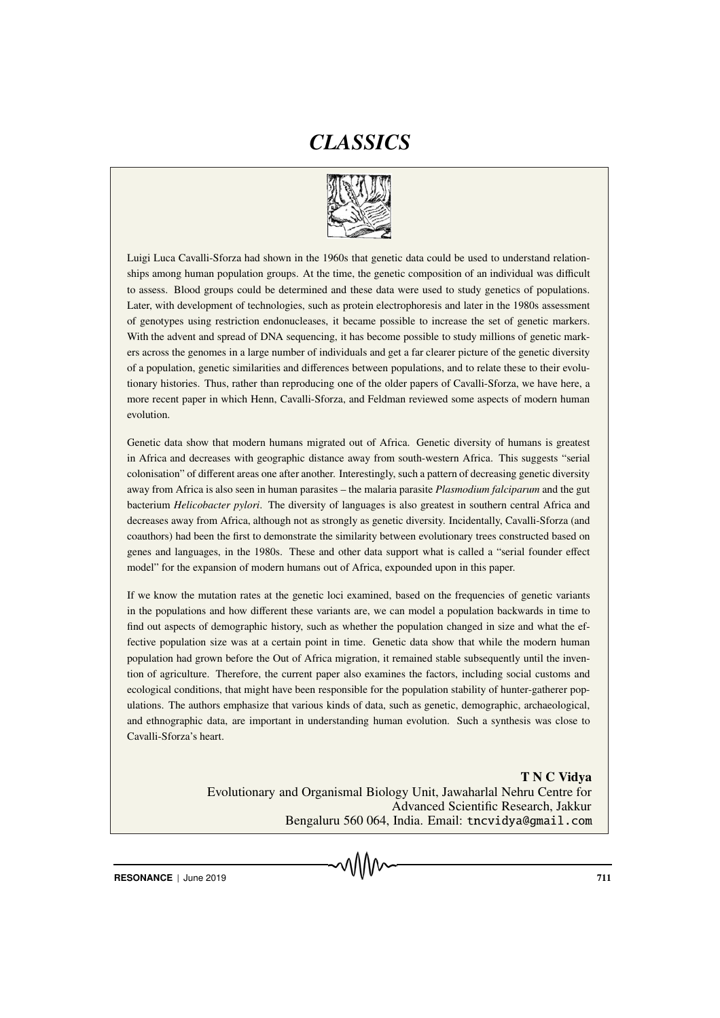

Luigi Luca Cavalli-Sforza had shown in the 1960s that genetic data could be used to understand relationships among human population groups. At the time, the genetic composition of an individual was difficult to assess. Blood groups could be determined and these data were used to study genetics of populations. Later, with development of technologies, such as protein electrophoresis and later in the 1980s assessment of genotypes using restriction endonucleases, it became possible to increase the set of genetic markers. With the advent and spread of DNA sequencing, it has become possible to study millions of genetic markers across the genomes in a large number of individuals and get a far clearer picture of the genetic diversity of a population, genetic similarities and differences between populations, and to relate these to their evolutionary histories. Thus, rather than reproducing one of the older papers of Cavalli-Sforza, we have here, a more recent paper in which Henn, Cavalli-Sforza, and Feldman reviewed some aspects of modern human evolution.

Genetic data show that modern humans migrated out of Africa. Genetic diversity of humans is greatest in Africa and decreases with geographic distance away from south-western Africa. This suggests "serial colonisation" of different areas one after another. Interestingly, such a pattern of decreasing genetic diversity away from Africa is also seen in human parasites – the malaria parasite *Plasmodium falciparum* and the gut bacterium *Helicobacter pylori*. The diversity of languages is also greatest in southern central Africa and decreases away from Africa, although not as strongly as genetic diversity. Incidentally, Cavalli-Sforza (and coauthors) had been the first to demonstrate the similarity between evolutionary trees constructed based on genes and languages, in the 1980s. These and other data support what is called a "serial founder effect model" for the expansion of modern humans out of Africa, expounded upon in this paper.

If we know the mutation rates at the genetic loci examined, based on the frequencies of genetic variants in the populations and how different these variants are, we can model a population backwards in time to find out aspects of demographic history, such as whether the population changed in size and what the effective population size was at a certain point in time. Genetic data show that while the modern human population had grown before the Out of Africa migration, it remained stable subsequently until the invention of agriculture. Therefore, the current paper also examines the factors, including social customs and ecological conditions, that might have been responsible for the population stability of hunter-gatherer populations. The authors emphasize that various kinds of data, such as genetic, demographic, archaeological, and ethnographic data, are important in understanding human evolution. Such a synthesis was close to Cavalli-Sforza's heart.

> T N C Vidya Evolutionary and Organismal Biology Unit, Jawaharlal Nehru Centre for Advanced Scientific Research, Jakkur Bengaluru 560 064, India. Email: tncvidya@gmail.com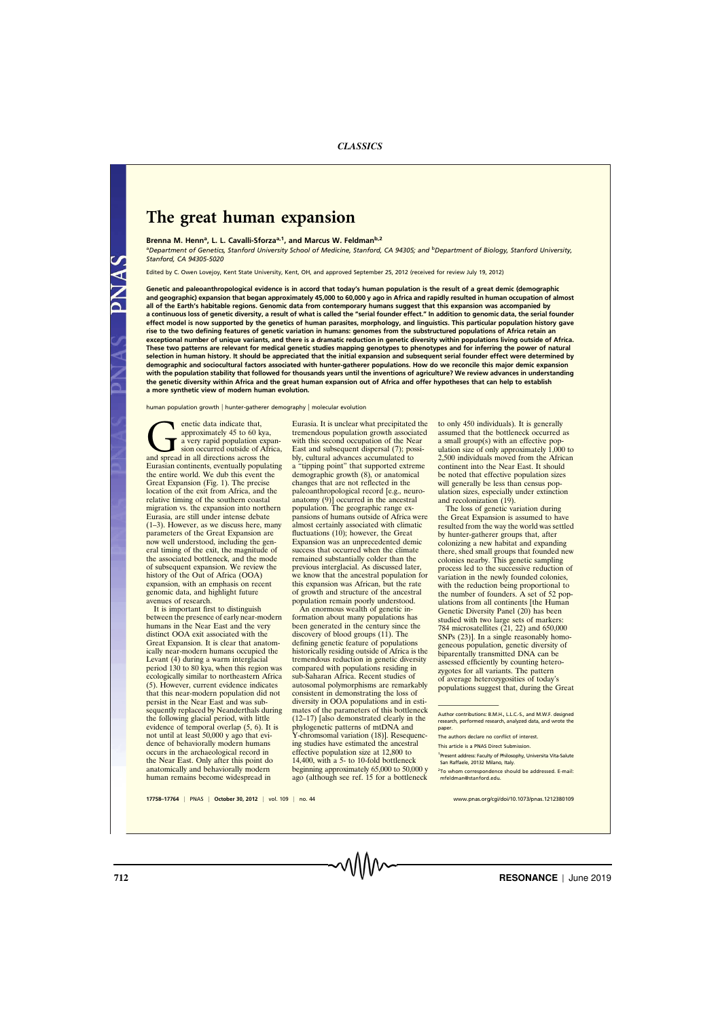# **C**<br>Brenna M. Henn<sup>a</sup>, L. L. Cavalli-Sforza<sup>a,1</sup>, and Marcus W. Feldman<sup>b,2</sup>

<sup>a</sup>Department of Genetics, Stanford University School of Medicine, Stanford, CA 94305; and <sup>b</sup>Department of Biology, Stanford University, Stanford, CA 94305-5020

Edited by C. Owen Lovejoy, Kent State University, Kent, OH, and approved September 25, 2012 (received for review July 19, 2012)

Genetic and paleoanthropological evidence is in accord that today's human population is the result of a great demic (demographic and geographic) expansion that began approximately 45,000 to 60,000 y ago in Africa and rapidly resulted in human occupation of almost all of the Earth's habitable regions. Genomic data from contemporary humans suggest that this expansion was accompanied by a continuous loss of genetic diversity, a result of what is called the "serial founder effect." In addition to genomic data, the serial founder effect model is now supported by the genetics of human parasites, morphology, and linguistics. This particular population history gave rise to the two defining features of genetic variation in humans: genomes from the substructured populations of Africa retain an exceptional number of unique variants, and there is a dramatic reduction in genetic diversity within populations living outside of Africa. These two patterns are relevant for medical genetic studies mapping genotypes to phenotypes and for inferring the power of natural selection in human history. It should be appreciated that the initial expansion and subsequent serial founder effect were determined by demographic and sociocultural factors associated with hunter-gatherer populations. How do we reconcile this major demic expansion with the population stability that followed for thousands years until the inventions of agriculture? We review advances in understanding the genetic diversity within Africa and the great human expansion out of Africa and offer hypotheses that can help to establish a more synthetic view of modern human evolution.

human population growth | hunter-gatherer demography | molecular evolution

**CEN** entitie data indicate that,<br>a very rapid population exp<br>sion occurred outside of Af<br>and spread in all directions across the approximately 45 to 60 kya, a very rapid population expansion occurred outside of Africa Eurasian continents, eventually populating the entire world. We dub this event the Great Expansion (Fig. 1). The precise location of the exit from Africa, and the relative timing of the southern coastal migration vs. the expansion into northern Eurasia, are still under intense debate (1–3). However, as we discuss here, many parameters of the Great Expansion are now well understood, including the general timing of the exit, the magnitude of the associated bottleneck, and the mode of subsequent expansion. We review the history of the Out of Africa (OOA) expansion, with an emphasis on recent genomic data, and highlight future avenues of research.

It is important first to distinguish between the presence of early near-modern humans in the Near East and the very distinct OOA exit associated with the Great Expansion. It is clear that anatomically near-modern humans occupied the Levant (4) during a warm interglacial period 130 to 80 kya, when this region was ecologically similar to northeastern Africa (5). However, current evidence indicates that this near-modern population did not persist in the Near East and was subsequently replaced by Neanderthals during the following glacial period, with little evidence of temporal overlap (5, 6). It is not until at least 50,000 y ago that evidence of behaviorally modern humans occurs in the archaeological record in the Near East. Only after this point do anatomically and behaviorally modern human remains become widespread in

Eurasia. It is unclear what precipitated the tremendous population growth associated with this second occupation of the Near East and subsequent dispersal (7); possibly, cultural advances accumulated to a "tipping point" that supported extreme demographic growth (8), or anatomical changes that are not reflected in the paleoanthropological record [e.g., neuroanatomy (9)] occurred in the ancestral population. The geographic range expansions of humans outside of Africa were almost certainly associated with climatic fluctuations  $(10)$ ; however, the Great Expansion was an unprecedented demic success that occurred when the climate remained substantially colder than the previous interglacial. As discussed later, we know that the ancestral population for this expansion was African, but the rate of growth and structure of the ancestral population remain poorly understood.

An enormous wealth of genetic information about many populations has been generated in the century since the discovery of blood groups (11). The defining genetic feature of populations historically residing outside of Africa is the tremendous reduction in genetic diversity compared with populations residing in sub-Saharan Africa. Recent studies of autosomal polymorphisms are remarkably consistent in demonstrating the loss of diversity in OOA populations and in estimates of the parameters of this bottleneck (12–17) [also demonstrated clearly in the phylogenetic patterns of mtDNA and Y-chromsomal variation (18)]. Resequencing studies have estimated the ancestral effective population size at 12,800 to 14,400, with a 5- to 10-fold bottleneck beginning approximately 65,000 to 50,000 y ago (although see ref. 15 for a bottleneck to only 450 individuals). It is generally assumed that the bottleneck occurred as a small group(s) with an effective population size of only approximately 1,000 to 2,500 individuals moved from the African continent into the Near East. It should be noted that effective population sizes will generally be less than census population sizes, especially under extinction and recolonization (19).

The loss of genetic variation during the Great Expansion is assumed to have resulted from the way the world was settled by hunter-gatherer groups that, after colonizing a new habitat and expanding there, shed small groups that founded new colonies nearby. This genetic sampling process led to the successive reduction of variation in the newly founded colonies, with the reduction being proportional to the number of founders. A set of 52 populations from all continents [the Human Genetic Diversity Panel (20) has been studied with two large sets of markers: 784 microsatellites (21, 22) and 650,000 SNPs (23)]. In a single reasonably homogeneous population, genetic diversity of biparentally transmitted DNA can be assessed efficiently by counting heterozygotes for all variants. The pattern of average heterozygosities of today's populations suggest that, during the Great

This article is a PNAS Direct Submit

1 Present address: Faculty of Philosophy, Universita Vita-Salute San Raffaele, 20132 Milano, Italy.

2 To whom correspondence should be addressed. E-mail: mfeldman@stanford.edu.

17758–17764 <sup>|</sup> PNAS <sup>|</sup> October 30, 2012 <sup>|</sup> vol. 109 <sup>|</sup> no. 44 www.pnas.org/cgi/doi/10.1073/pnas.1212380109

Author contributions: B.M.H., L.L.C.-S., and M.W.F. designed research, performed research, analyzed data, and wrote the paper.

The authors declare no conflict of interest.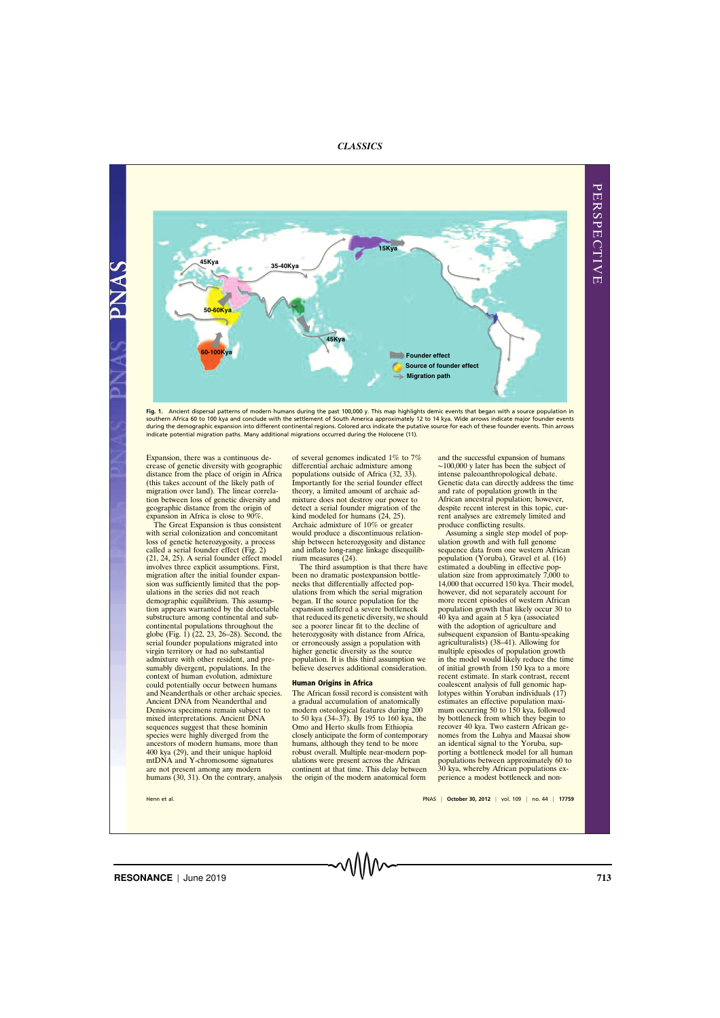

Fig. 1. Ancient dispersal patterns of modern humans during the past 100,000 y. This map highlights demic events that began with a source population in southern Africa 60 to 100 kya and conclude with the settlement of South America approximately 12 to 14 kya. Wide arrows indicate major founder events during the demographic expansion into different continental regions. Colored arcs indicate the putative source for each of these founder events. Thin arrows indicate potential migration paths. Many additional migrations occurred during the Holocene (11).

Expansion, there was a continuous decrease of genetic diversity with geographic distance from the place of origin in Africa (this takes account of the likely path of migration over land). The linear correlation between loss of genetic diversity and geographic distance from the origin of expansion in Africa is close to 90%.

The Great Expansion is thus consistent with serial colonization and concomitant loss of genetic heterozygosity, a process called a serial founder effect (Fig. 2) (21, 24, 25). A serial founder effect model involves three explicit assumptions. First, migration after the initial founder expansion was sufficiently limited that the populations in the series did not reach demographic equilibrium. This assumption appears warranted by the detectable substructure among continental and subcontinental populations throughout the globe (Fig. 1) (22, 23, 26–28). Second, the serial founder populations migrated into virgin territory or had no substantial admixture with other resident, and presumably divergent, populations. In the context of human evolution, admixture could potentially occur between humans and Neanderthals or other archaic species. Ancient DNA from Neanderthal and Denisova specimens remain subject to mixed interpretations. Ancient DNA sequences suggest that these hominin species were highly diverged from the ancestors of modern humans, more than 400 kya (29), and their unique haploid mtDNA and Y-chromosome signatures are not present among any modern humans (30, 31). On the contrary, analysis

of several genomes indicated 1% to 7% differential archaic admixture among populations outside of Africa (32, 33). Importantly for the serial founder effect theory, a limited amount of archaic admixture does not destroy our power to detect a serial founder migration of the kind modeled for humans (24, 25). Archaic admixture of 10% or greater would produce a discontinuous relationship between heterozygosity and distance and inflate long-range linkage disequilibrium measures (24).

The third assumption is that there have been no dramatic postexpansion bottlenecks that differentially affected populations from which the serial migration began. If the source population for the expansion suffered a severe bottleneck that reduced its genetic diversity, we should see a poorer linear fit to the decline of heterozygosity with distance from Africa, or erroneously assign a population with higher genetic diversity as the source population. It is this third assumption we believe deserves additional consideration.

### Human Origins in Africa

The African fossil record is consistent with a gradual accumulation of anatomically modern osteological features during 200 to 50 kya (34–37). By 195 to 160 kya, the Omo and Herto skulls from Ethiopia closely anticipate the form of contemporary humans, although they tend to be more robust overall. Multiple near-modern populations were present across the African continent at that time. This delay between the origin of the modern anatomical form

and the successful expansion of humans ∼100,000 y later has been the subject of intense paleoanthropological debate. Genetic data can directly address the time and rate of population growth in the African ancestral population; however, despite recent interest in this topic, current analyses are extremely limited and produce conflicting results.

Assuming a single step model of population growth and with full genome sequence data from one western African population (Yoruba), Gravel et al. (16) estimated a doubling in effective population size from approximately 7,000 to 14,000 that occurred 150 kya. Their model, however, did not separately account for more recent episodes of western African population growth that likely occur 30 to 40 kya and again at 5 kya (associated with the adoption of agriculture and subsequent expansion of Bantu-speaking agriculturalists) (38–41). Allowing for multiple episodes of population growth in the model would likely reduce the time of initial growth from 150 kya to a more recent estimate. In stark contrast, recent coalescent analysis of full genomic haplotypes within Yoruban individuals (17) estimates an effective population maximum occurring 50 to 150 kya, followed by bottleneck from which they begin to recover 40 kya. Two eastern African genomes from the Luhya and Maasai show an identical signal to the Yoruba, supporting a bottleneck model for all human populations between approximately 60 to 30 kya, whereby African populations experience a modest bottleneck and non-

Henn et al. PNAS <sup>|</sup> October 30, 2012 <sup>|</sup> vol. 109 <sup>|</sup> no. 44 <sup>|</sup> 17759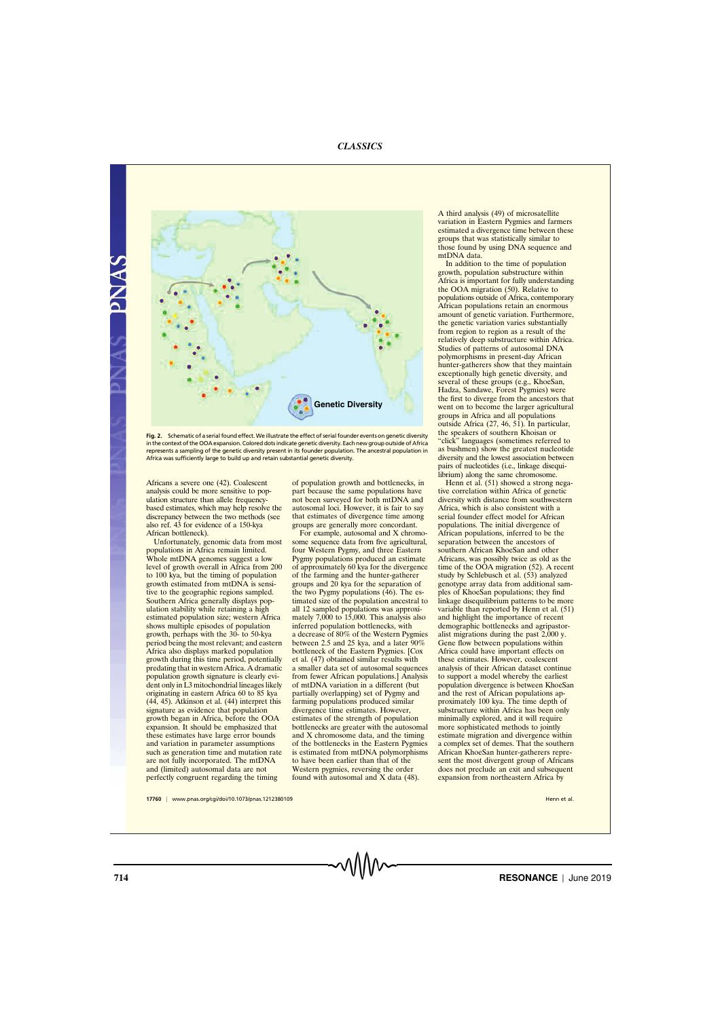

Fig. 2. Schematic of a serial found effect. We illustrate the effect of serial founder events on genetic diversity in the context of the OOA expansion. Colored dots indicate genetic diversity. Each new group outside of Africa represents a sampling of the genetic diversity present in its founder population. The ancestral population in Africa was sufficiently large to build up and retain substantial genetic diversity.

Africans a severe one (42). Coalescent analysis could be more sensitive to population structure than allele frequencybased estimates, which may help resolve the discrepancy between the two methods (see also ref. 43 for evidence of a 150-kya African bottleneck).

Unfortunately, genomic data from most populations in Africa remain limited. Whole mtDNA genomes suggest a low level of growth overall in Africa from 200 to 100 kya, but the timing of population growth estimated from mtDNA is sensitive to the geographic regions sampled. Southern Africa generally displays population stability while retaining a high estimated population size; western Africa shows multiple episodes of population growth, perhaps with the 30- to 50-kya period being the most relevant; and eastern Africa also displays marked population growth during this time period, potentially predating that in western Africa. A dramatic population growth signature is clearly evident only in L<sub>3</sub> mitochondrial lineages likely originating in eastern Africa 60 to 85 kya (44, 45). Atkinson et al. (44) interpret this signature as evidence that population growth began in Africa, before the OOA expansion. It should be emphasized that these estimates have large error bounds and variation in parameter assumptions such as generation time and mutation rate are not fully incorporated. The mtDNA and (limited) autosomal data are not perfectly congruent regarding the timing

of population growth and bottlenecks, in part because the same populations have not been surveyed for both mtDNA and autosomal loci. However, it is fair to say that estimates of divergence time among groups are generally more concordant.

For example, autosomal and X chromosome sequence data from five agricultural, four Western Pygmy, and three Eastern Pygmy populations produced an estimate of approximately 60 kya for the divergence of the farming and the hunter-gatherer groups and 20 kya for the separation of the two Pygmy populations (46). The es-timated size of the population ancestral to all 12 sampled populations was approximately 7,000 to 15,000. This analysis also inferred population bottlenecks, with a decrease of 80% of the Western Pygmies between 2.5 and 25 kya, and a later 90% bottleneck of the Eastern Pygmies. [Cox et al. (47) obtained similar results with a smaller data set of autosomal sequences from fewer African populations.] Analysis of mtDNA variation in a different (but partially overlapping) set of Pygmy and farming populations produced similar divergence time estimates. However, estimates of the strength of population bottlenecks are greater with the autosomal and X chromosome data, and the timing of the bottlenecks in the Eastern Pygmies is estimated from mtDNA polymorphisms to have been earlier than that of the Western pygmies, reversing the order found with autosomal and X data (48).

A third analysis (49) of microsatellite variation in Eastern Pygmies and farmers estimated a divergence time between these groups that was statistically similar to those found by using DNA sequence and mtDNA data.

In addition to the time of population growth, population substructure within Africa is important for fully understanding the OOA migration (50). Relative to populations outside of Africa, contemporary African populations retain an enormous amount of genetic variation. Furthermore, the genetic variation varies substantially from region to region as a result of the relatively deep substructure within Africa. Studies of patterns of autosomal DNA polymorphisms in present-day African hunter-gatherers show that they maintain exceptionally high genetic diversity, and several of these groups (e.g., KhoeSan, Hadza, Sandawe, Forest Pygmies) were the first to diverge from the ancestors that went on to become the larger agricultural groups in Africa and all populations outside Africa (27, 46, 51). In particular, the speakers of southern Khoisan or "click" languages (sometimes referred to as bushmen) show the greatest nucleotide diversity and the lowest association between pairs of nucleotides (i.e., linkage disequilibrium) along the same chromosome.

Henn et al. (51) showed a strong negative correlation within Africa of genetic diversity with distance from southwestern Africa, which is also consistent with a serial founder effect model for African populations. The initial divergence of African populations, inferred to be the separation between the ancestors of southern African KhoeSan and other Africans, was possibly twice as old as the time of the OOA migration (52). A recent study by Schlebusch et al. (53) analyzed genotype array data from additional samples of KhoeSan populations; they find linkage disequilibrium patterns to be more variable than reported by Henn et al. (51) and highlight the importance of recent demographic bottlenecks and agripastoralist migrations during the past 2,000 y. Gene flow between populations within Africa could have important effects on these estimates. However, coalescent analysis of their African dataset continue to support a model whereby the earliest population divergence is between KhoeSan and the rest of African populations approximately 100 kya. The time depth of substructure within Africa has been only minimally explored, and it will require more sophisticated methods to jointly estimate migration and divergence within a complex set of demes. That the southern African KhoeSan hunter-gatherers represent the most divergent group of Africans does not preclude an exit and subsequent expansion from northeastern Africa by

17760 | www.pnas.org/cgi/doi/10.1073/pnas.1212380109 https://www.pnas.org/cgi/doi/10.1073/pnas.1212380109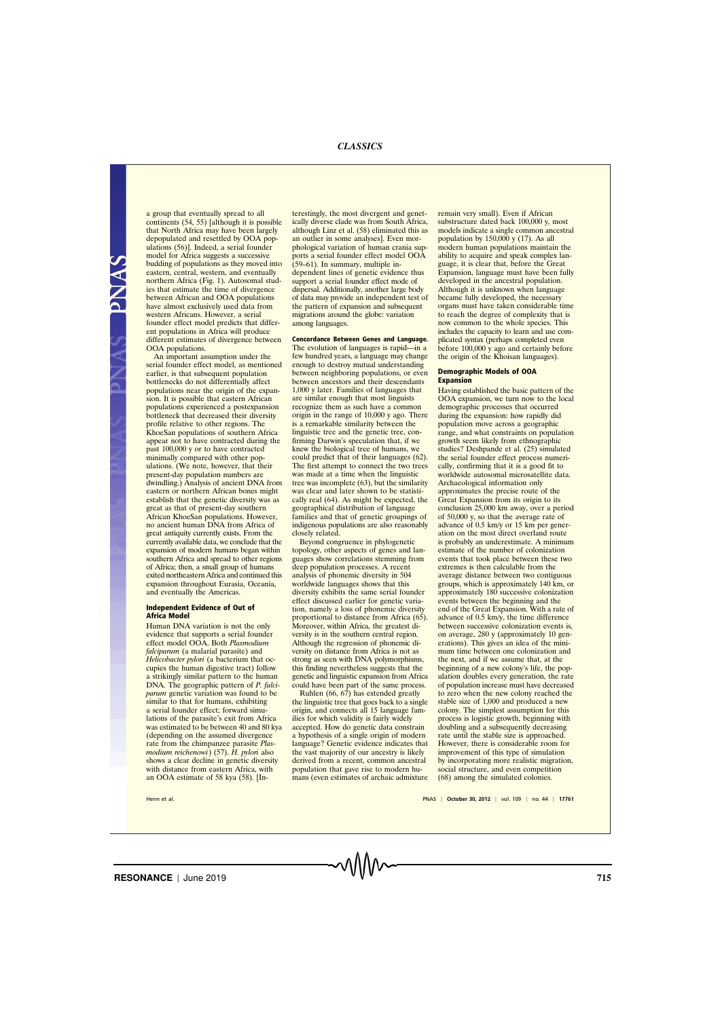a group that eventually spread to all continents (54, 55) [although it is possible that North Africa may have been largely depopulated and resettled by OOA populations (56)]. Indeed, a serial founder model for Africa suggests a successive budding of populations as they moved into eastern, central, western, and eventually northern Africa (Fig. 1). Autosomal studies that estimate the time of divergence between African and OOA populations have almost exclusively used data from western Africans. However, a serial founder effect model predicts that different populations in Africa will produce different estimates of divergence between OOA populations.

An important assumption under the serial founder effect model, as mentioned earlier, is that subsequent population bottlenecks do not differentially affect populations near the origin of the expansion. It is possible that eastern African populations experienced a postexpansion bottleneck that decreased their diversity profile relative to other regions. The KhoeSan populations of southern Africa appear not to have contracted during the past 100,000 y or to have contracted minimally compared with other populations. (We note, however, that their present-day population numbers are dwindling.) Analysis of ancient DNA from eastern or northern African bones might establish that the genetic diversity was as great as that of present-day southern African KhoeSan populations. However, no ancient human DNA from Africa of great antiquity currently exists. From the currently available data, we conclude that the expansion of modern humans began within southern Africa and spread to other regions of Africa; then, a small group of humans exited northeastern Africa and continued this expansion throughout Eurasia, Oceania, and eventually the Americas.

#### Independent Evidence of Out of Africa Model

Human DNA variation is not the only evidence that supports a serial founder effect model OOA. Both Plasmodium falciparum (a malarial parasite) and Helicobacter pylori (a bacterium that occupies the human digestive tract) follow a strikingly similar pattern to the human DNA. The geographic pattern of P. falciparum genetic variation was found to be similar to that for humans, exhibiting a serial founder effect; forward simulations of the parasite's exit from Africa was estimated to be between 40 and 80 kya (depending on the assumed divergence rate from the chimpanzee parasite Plasmodium reichenowi) (57). H. pylori also shows a clear decline in genetic diversity with distance from eastern Africa, with an OOA estimate of 58 kya (58). [Interestingly, the most divergent and genetically diverse clade was from South Africa, although Linz et al. (58) eliminated this as an outlier in some analyses]. Even morphological variation of human crania supports a serial founder effect model OOA (59–61). In summary, multiple independent lines of genetic evidence thus support a serial founder effect mode of dispersal. Additionally, another large body of data may provide an independent test of the pattern of expansion and subsequent migrations around the globe: variation among languages.

#### Concordance Between Genes and Language.

The evolution of languages is rapid—in a few hundred years, a language may change enough to destroy mutual understanding between neighboring populations, or even between ancestors and their descendants 1,000 y later. Families of languages that are similar enough that most linguists recognize them as such have a common origin in the range of 10,000 y ago. There is a remarkable similarity between the linguistic tree and the genetic tree, confirming Darwin's speculation that, if we knew the biological tree of humans, we could predict that of their languages (62). The first attempt to connect the two trees was made at a time when the linguistic tree was incomplete (63), but the similarity was clear and later shown to be statistically real (64). As might be expected, the geographical distribution of language families and that of genetic groupings of indigenous populations are also reasonably closely related.

Beyond congruence in phylogenetic topology, other aspects of genes and languages show correlations stemming from deep population processes. A recent analysis of phonemic diversity in 504 worldwide languages shows that this diversity exhibits the same serial founder effect discussed earlier for genetic variation, namely a loss of phonemic diversity proportional to distance from Africa (65). Moreover, within Africa, the greatest diversity is in the southern central region. Although the regression of phonemic diversity on distance from Africa is not as strong as seen with DNA polymorphisms, this finding nevertheless suggests that the genetic and linguistic expansion from Africa could have been part of the same process.

Ruhlen (66, 67) has extended greatly the linguistic tree that goes back to a single origin, and connects all 15 language families for which validity is fairly widely accepted. How do genetic data constrain a hypothesis of a single origin of modern language? Genetic evidence indicates that the vast majority of our ancestry is likely derived from a recent, common ancestral population that gave rise to modern humans (even estimates of archaic admixture remain very small). Even if African substructure dated back 100,000 y, most models indicate a single common ancestral population by  $150,000$  y (17). As all modern human populations maintain the ability to acquire and speak complex language, it is clear that, before the Great Expansion, language must have been fully developed in the ancestral population. Although it is unknown when language became fully developed, the necessary organs must have taken considerable time to reach the degree of complexity that is now common to the whole species. This includes the capacity to learn and use complicated syntax (perhaps completed even before 100,000 y ago and certainly before the origin of the Khoisan languages).

#### Demographic Models of OOA **Expansion**

Having established the basic pattern of the OOA expansion, we turn now to the local demographic processes that occurred during the expansion: how rapidly did population move across a geographic range, and what constraints on population growth seem likely from ethnographic studies? Deshpande et al. (25) simulated the serial founder effect process numerically, confirming that it is a good fit to worldwide autosomal microsatellite data. Archaeological information only approximates the precise route of the Great Expansion from its origin to its conclusion 25,000 km away, over a period of 50,000 y, so that the average rate of advance of 0.5 km/y or 15 km per generation on the most direct overland route is probably an underestimate. A minimum estimate of the number of colonization events that took place between these two extremes is then calculable from the average distance between two contiguous groups, which is approximately 140 km, or approximately 180 successive colonization events between the beginning and the end of the Great Expansion. With a rate of advance of 0.5 km/y, the time difference between successive colonization events is, on average, 280 y (approximately 10 generations). This gives an idea of the minimum time between one colonization and the next, and if we assume that, at the beginning of a new colony's life, the population doubles every generation, the rate of population increase must have decreased to zero when the new colony reached the stable size of 1,000 and produced a new colony. The simplest assumption for this process is logistic growth, beginning with doubling and a subsequently decreasing rate until the stable size is approached. However, there is considerable room for improvement of this type of simulation by incorporating more realistic migration, social structure, and even competition (68) among the simulated colonies.

Henn et al. PNAS <sup>|</sup> October 30, 2012 <sup>|</sup> vol. 109 <sup>|</sup> no. 44 <sup>|</sup> 17761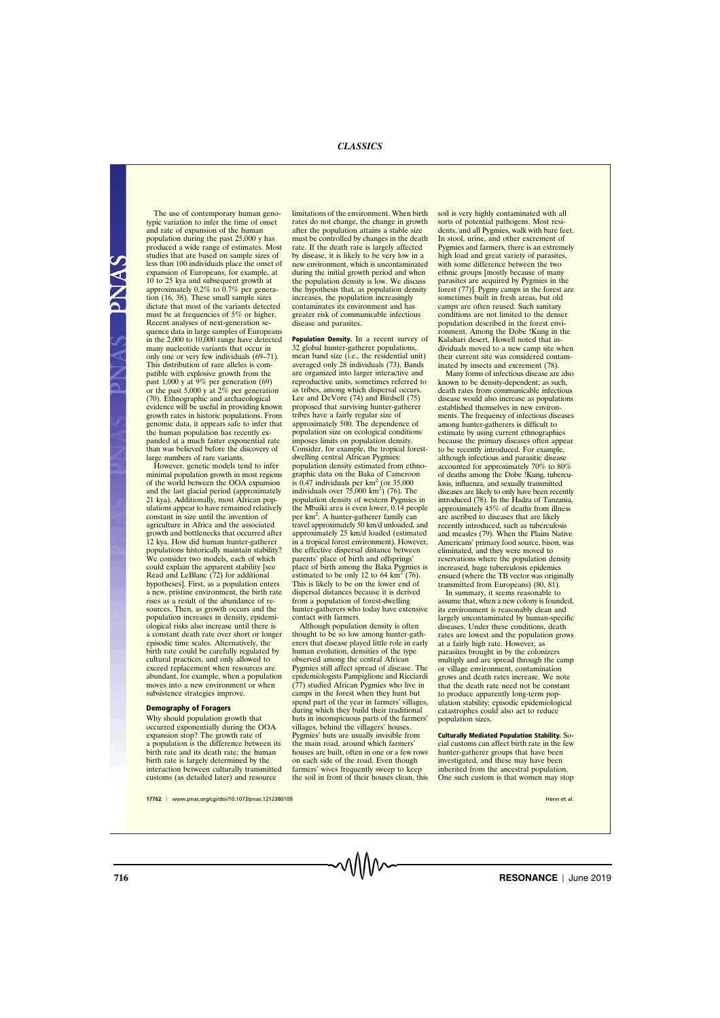

The use of contemporary human genotypic variation to infer the time of onset and rate of expansion of the human population during the past 25,000 y has produced a wide range of estimates. Most studies that are based on sample sizes of less than 100 individuals place the onset of expansion of Europeans, for example, at 10 to 25 kya and subsequent growth at approximately  $0.2\%$  to  $0.7\%$  per generation (16, 38). These small sample sizes dictate that most of the variants detected must be at frequencies of 5% or higher. Recent analyses of next-generation sequence data in large samples of Europeans in the 2,000 to 10,000 range have detected many nucleotide variants that occur in only one or very few individuals (69–71). This distribution of rare alleles is compatible with explosive growth from the past  $1,000$  y at  $9\%$  per generation (69) or the past  $5,000$  y at  $2\%$  per generation (70). Ethnographic and archaeological evidence will be useful in providing known growth rates in historic populations. From genomic data, it appears safe to infer that the human population has recently expanded at a much faster exponential rate than was believed before the discovery of large numbers of rare variants.

However, genetic models tend to infer minimal population growth in most regions of the world between the OOA expansion and the last glacial period (approximately 21 kya). Additionally, most African populations appear to have remained relatively constant in size until the invention of agriculture in Africa and the associated growth and bottlenecks that occurred after 12 kya. How did human hunter-gatherer populations historically maintain stability? We consider two models, each of which could explain the apparent stability [see Read and LeBlanc (72) for additional hypotheses]. First, as a population enters a new, pristine environment, the birth rate rises as a result of the abundance of resources. Then, as growth occurs and the population increases in density, epidemiological risks also increase until there is a constant death rate over short or longer episodic time scales. Alternatively, the birth rate could be carefully regulated by cultural practices, and only allowed to exceed replacement when resources are abundant, for example, when a population moves into a new environment or when subsistence strategies improve.

#### Demography of Foragers

Why should population growth that occurred exponentially during the OOA expansion stop? The growth rate of a population is the difference between its birth rate and its death rate; the human birth rate is largely determined by the interaction between culturally transmitted customs (as detailed later) and resource

limitations of the environment. When birth rates do not change, the change in growth after the population attains a stable size must be controlled by changes in the death rate. If the death rate is largely affected by disease, it is likely to be very low in a new environment, which is uncontaminated during the initial growth period and when the population density is low. We discuss the hypothesis that, as population density increases, the population increasingly contaminates its environment and has greater risk of communicable infectious disease and parasites.

Population Density. In a recent survey of 32 global hunter-gatherer populations, mean band size (i.e., the residential unit) averaged only 28 individuals (73). Bands are organized into larger interactive and reproductive units, sometimes referred to as tribes, among which dispersal occurs. Lee and DeVore (74) and Birdsell (75) proposed that surviving hunter-gatherer tribes have a fairly regular size of approximately 500. The dependence of population size on ecological conditions imposes limits on population density. Consider, for example, the tropical forestdwelling central African Pygmies: population density estimated from ethnographic data on the Baka of Cameroon is 0.47 individuals per  $km^2$  (or 35,000 individuals over 75,000 km<sup>2</sup>) (76). The population density of western Pygmies in the Mbaiki area is even lower, 0.14 people per km<sup>2</sup> . A hunter-gatherer family can travel approximately 50 km/d unloaded, and approximately 25 km/d loaded (estimated in a tropical forest environment). However, the effective dispersal distance between parents' place of birth and offsprings' place of birth among the Baka Pygmies is estimated to be only 12 to 64  $\text{km}^2$  (76). This is likely to be on the lower end of dispersal distances because it is derived from a population of forest-dwelling hunter-gatherers who today have extensive contact with farmers.

Although population density is often thought to be so low among hunter-gatherers that disease played little role in early human evolution, densities of the type observed among the central African Pygmies still affect spread of disease. The epidemiologists Pampiglione and Ricciardi (77) studied African Pygmies who live in camps in the forest when they hunt but spend part of the year in farmers' villages, during which they build their traditional huts in inconspicuous parts of the farmers' villages, behind the villagers' houses. Pygmies' huts are usually invisible from the main road, around which farmers' houses are built, often in one or a few rows on each side of the road. Even though farmers' wives frequently sweep to keep the soil in front of their houses clean, this soil is very highly contaminated with all sorts of potential pathogens. Most residents, and all Pygmies, walk with bare feet. In stool, urine, and other excrement of Pygmies and farmers, there is an extremely high load and great variety of parasites, with some difference between the two ethnic groups [mostly because of many parasites are acquired by Pygmies in the forest (77)]. Pygmy camps in the forest are sometimes built in fresh areas, but old camps are often reused. Such sanitary conditions are not limited to the denser population described in the forest environment. Among the Dobe !Kung in the Kalahari desert, Howell noted that individuals moved to a new camp site when their current site was considered contaminated by insects and excrement (78).

Many forms of infectious disease are also known to be density-dependent; as such, death rates from communicable infectious disease would also increase as populations established themselves in new environments. The frequency of infectious diseases among hunter-gatherers is difficult to estimate by using current ethnographies because the primary diseases often appear to be recently introduced. For example, although infectious and parasitic disease accounted for approximately 70% to 80% of deaths among the Dobe !Kung, tuberculosis, influenza, and sexually transmitted diseases are likely to only have been recently introduced (78). In the Hadza of Tanzania, approximately 45% of deaths from illness are ascribed to diseases that are likely recently introduced, such as tuberculosis and measles (79). When the Plains Native Americans' primary food source, bison, was eliminated, and they were moved to reservations where the population density increased, huge tuberculosis epidemics ensued (where the TB vector was originally transmitted from Europeans) (80, 81).

In summary, it seems reasonable to assume that, when a new colony is founded, its environment is reasonably clean and largely uncontaminated by human-specific diseases. Under these conditions, death rates are lowest and the population grows at a fairly high rate. However, as parasites brought in by the colonizers multiply and are spread through the camp or village environment, contamination grows and death rates increase. We note that the death rate need not be constant to produce apparently long-term population stability; episodic epidemiological catastrophes could also act to reduce population sizes.

Culturally Mediated Population Stability. Social customs can affect birth rate in the few hunter-gatherer groups that have been investigated, and these may have been inherited from the ancestral population. One such custom is that women may stop

17762 | www.pnas.org/cgi/doi/10.1073/pnas.1212380109 https://www.pnas.org/cgi/doi/10.1073/pnas.1212380109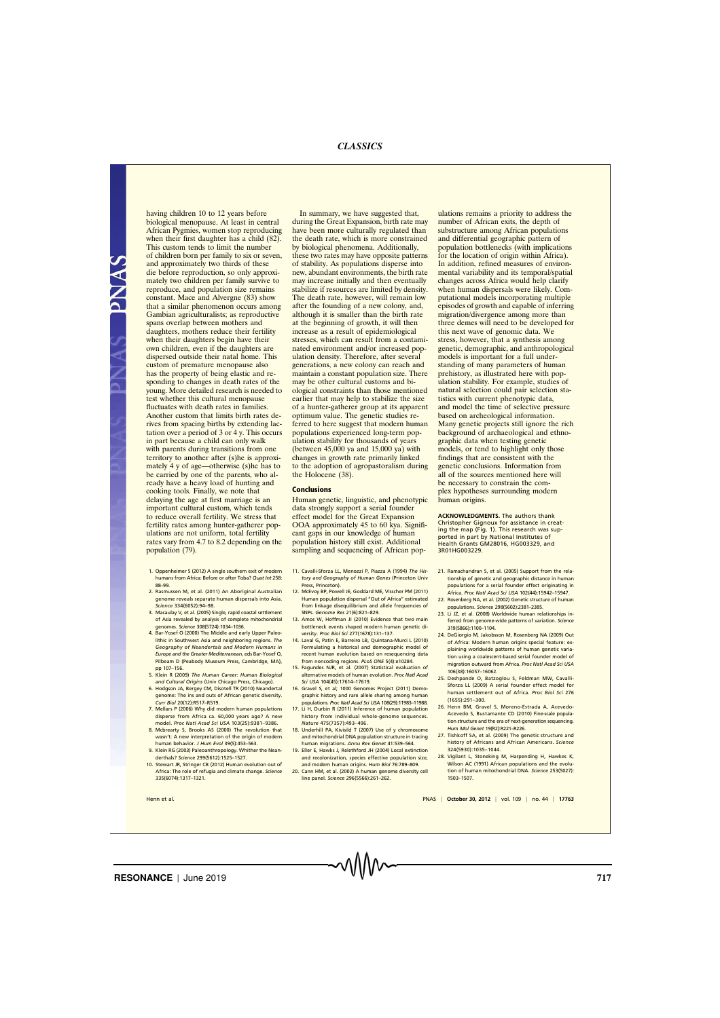having children 10 to 12 years before biological menopause. At least in central African Pygmies, women stop reproducing when their first daughter has a child (82). This custom tends to limit the number of children born per family to six or seven, and approximately two thirds of these die before reproduction, so only approximately two children per family survive to reproduce, and population size remains constant. Mace and Alvergne (83) show that a similar phenomenon occurs among Gambian agriculturalists; as reproductive spans overlap between mothers and daughters, mothers reduce their fertility when their daughters begin have their own children, even if the daughters are dispersed outside their natal home. This custom of premature menopause also has the property of being elastic and responding to changes in death rates of the young. More detailed research is needed to test whether this cultural menopause fluctuates with death rates in families. Another custom that limits birth rates derives from spacing births by extending lactation over a period of 3 or 4 y. This occurs in part because a child can only walk with parents during transitions from one territory to another after (s)he is approximately 4 y of age—otherwise (s)he has to be carried by one of the parents, who already have a heavy load of hunting and cooking tools. Finally, we note that delaying the age at first marriage is an important cultural custom, which tends to reduce overall fertility. We stress that fertility rates among hunter-gatherer populations are not uniform, total fertility rates vary from 4.7 to 8.2 depending on the population (79).

- 1. Oppenheimer S (2012) A single southern exit of modern humans from Africa: Before or after Toba? Quat Int 258: 88–99.
- 2. Rasmussen M, et al. (2011) An Aboriginal Australian genome reveals separate human dispersals into Asia. Science 334(6052):94–98.
- 3. Macaulay V, et al. (2005) Single, rapid coastal settlement of Asia revealed by analysis of complete mitochondrial genomes. Science 308(5724):1034–1036.
- Homes: Science Socion Andrews Cook Tool.<br>Bar-Yosef O (2000) The Middle and early Upper Pale lithic in Southwest Asia and neighboring regions. The Geography of Neandertals and Modern Humans in Europe and the Greater Mediterranean, eds Bar-Yosef O Pilbeam D (Peabody Museum Press, Cambridge, MA), pp 107–156.
- 5. Klein R (2009) The Human Career: Human Biological and Cultural Origins (Univ Chicago Press, Chicago). 6. Hodgson JA, Bergey CM, Disotell TR (2010) Neandertal
- genome: The ins and outs of African genetic diversity. Curr Biol 20(12):R517–R519.
- 7. Mellars P (2006) Why did modern human populations disperse from Africa ca. 60,000 years ago? A new model. Proc Natl Acad Sci USA 103(25):9381–9386.
- 8. Mcbrearty S, Brooks AS (2000) The revolution that wasn't: A new interpretation of the origin of modern<br>human behavior. *J Hum Evol* 39(5):453–563.
- 9. Klein RG (2003) Paleoanthropology. Whither the Neanderthals? Science 299(5612):1525–1527.
- 10. Stewart JR, Stringer CB (2012) Human evolution out of Africa: The role of refugia and climate change. Science 335(6074):1317–1321.

In summary, we have suggested that, during the Great Expansion, birth rate may have been more culturally regulated than the death rate, which is more constrained by biological phenomena. Additionally, these two rates may have opposite patterns of stability. As populations disperse into new, abundant environments, the birth rate may increase initially and then eventually stabilize if resources are limited by density. The death rate, however, will remain low after the founding of a new colony, and, although it is smaller than the birth rate at the beginning of growth, it will then increase as a result of epidemiological stresses, which can result from a contaminated environment and/or increased population density. Therefore, after several generations, a new colony can reach and maintain a constant population size. There may be other cultural customs and biological constraints than those mentioned earlier that may help to stabilize the size of a hunter-gatherer group at its apparent optimum value. The genetic studies referred to here suggest that modern human populations experienced long-term population stability for thousands of years (between  $45,000$  ya and  $15,000$  ya) with changes in growth rate primarily linked to the adoption of agropastoralism during the Holocene (38).

#### Conclusions

Human genetic, linguistic, and phenotypic data strongly support a serial founder effect model for the Great Expansion OOA approximately 45 to 60 kya. Significant gaps in our knowledge of human population history still exist. Additional sampling and sequencing of African pop-

- 11. Cavalli-Sforza LL, Menozzi P, Piazza A (1994) The His-tory and Geography of Human Genes (Princeton Univ Press, Princeton).
- 12. McEvoy BP, Powell JE, Goddard ME, Visscher PM (2011) Human population dispersal "Out of Africa" estimated from linkage disequilibrium and allele frequencies of SNPs. Genome Res 21(6):821–829.
- 13. Amos W, Hoffman JI (2010) Evidence that two main bottleneck events shaped modern human genetic diversity. Proc Biol Sci 277(1678):131–137.
- 14. Laval G, Patin E, Barreiro LB, Quintana-Murci L (2010) Formulating a historical and demographic model of recent human evolution based on resequencing data from noncoding regions. PLoS ONE 5(4):e10284.
- 15. Fagundes NJR, et al. (2007) Statistical evaluation of alternative models of human evolution. Proc Natl Acad Sci USA 104(45):17614–17619.
- 16. Gravel S, et al; 1000 Genomes Project (2011) Demographic history and rare allele sharing among human populations. Proc Natl Acad Sci USA 108(29):11983–11988.
- 17. Li H, Durbin R (2011) Inference of human population history from individual whole-genome sequences.<br>Nature 475(7357):493-496. 475(7357):493-496.
- 18. Underhill PA, Kivisild T (2007) Use of y chromosome and mitochondrial DNA population structure in tracing human migrations. Annu Rev Genet 41:539–564.
- 19. Eller E, Hawks J, Relethford JH (2004) Local extinction and recolonization, species effective population size, and modern human origins. Hum Biol 76:789–809. 20. Cann HM, et al. (2002) A human genome diversity cell
	- line panel. Science 296(5566):261–262.

ulations remains a priority to address the number of African exits, the depth of substructure among African populations and differential geographic pattern of population bottlenecks (with implications for the location of origin within Africa). In addition, refined measures of environmental variability and its temporal/spatial changes across Africa would help clarify when human dispersals were likely. Computational models incorporating multiple episodes of growth and capable of inferring migration/divergence among more than three demes will need to be developed for this next wave of genomic data. We stress, however, that a synthesis among genetic, demographic, and anthropological models is important for a full understanding of many parameters of human prehistory, as illustrated here with population stability. For example, studies of natural selection could pair selection statistics with current phenotypic data, and model the time of selective pressure based on archeological information. Many genetic projects still ignore the rich background of archaeological and ethnographic data when testing genetic models, or tend to highlight only those findings that are consistent with the genetic conclusions. Information from all of the sources mentioned here will be necessary to constrain the complex hypotheses surrounding modern human origins.

ACKNOWLEDGMENTS. The authors thank Christopher Gignoux for assistance in creating the map (Fig. 1). This research was supported in part by National Institutes of Health Grants GM28016, HG003329, and 3R01HG003229.

- 21. Ramachandran S, et al. (2005) Support from the relationship of genetic and geographic distance in human populations for a serial founder effect originating in Africa. Proc Natl Acad Sci USA 102(44):15942–15947.
- 22. Rosenberg NA, et al. (2002) Genetic structure of human populations. Science 298(5602):2381–2385.
- 23. Li JZ, et al. (2008) Worldwide human relationships inferred from genome-wide patterns of variation. Science 319(5866):1100–1104.
- 24. DeGiorgio M, Jakobsson M, Rosenberg NA (2009) Out of Africa: Modern human origins special feature: explaining worldwide patterns of human genetic variation using a coalescent-based serial founder model of migration outward from Africa. Proc Natl Acad Sci USA 106(38):16057–16062.
- 25. Deshpande O, Batzoglou S, Feldman MW, Cavalli-Sforza LL (2009) A serial founder effect model for human settlement out of Africa. Proc Biol Sci 276 (1655):291–300.
- 26. Henn BM, Gravel S, Moreno-Estrada A, Acevedo-Acevedo S, Bustamante CD (2010) Fine-scale population structure and the era of next-generation sequencing. Hum Mol Genet 19(R2):R221–R226.
- 27. Tishkoff SA, et al. (2009) The genetic structure and history of Africans and African Americans. Science 324(5930):1035–1044.
- 28. Vigilant L, Stoneking M, Harpending H, Hawkes K, Wilson AC (1991) African populations and the evolution of human mitochondrial DNA. Science 253(5027): 1503–1507.

Henn et al. PNAS <sup>|</sup> October 30, 2012 <sup>|</sup> vol. 109 <sup>|</sup> no. 44 <sup>|</sup> 17763